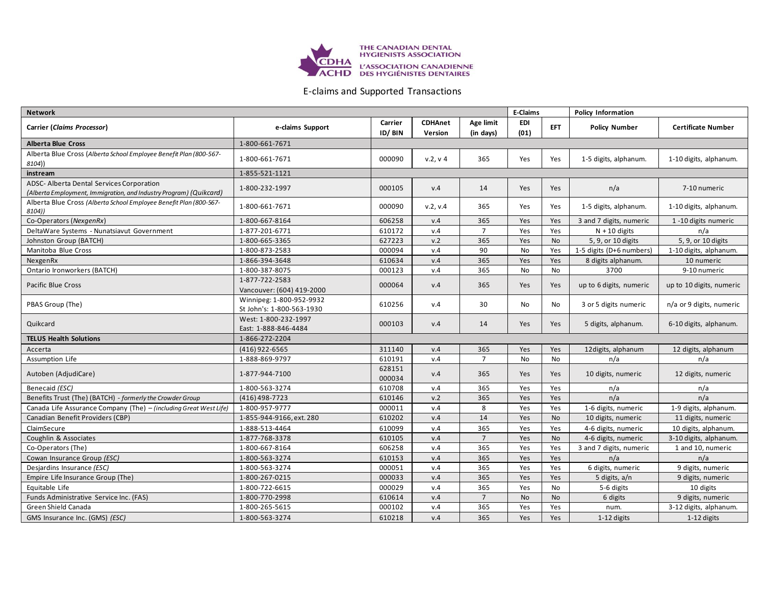

## E-claims and Supported Transactions

| <b>Network</b>                                                                                                  |                                                       |                   |                           |                        | <b>E-Claims</b>    |            | <b>Policy Information</b> |                           |
|-----------------------------------------------------------------------------------------------------------------|-------------------------------------------------------|-------------------|---------------------------|------------------------|--------------------|------------|---------------------------|---------------------------|
| Carrier (Claims Processor)                                                                                      | e-claims Support                                      | Carrier<br>ID/BIN | <b>CDHAnet</b><br>Version | Age limit<br>(in days) | <b>EDI</b><br>(01) | <b>EFT</b> | <b>Policy Number</b>      | <b>Certificate Number</b> |
| <b>Alberta Blue Cross</b>                                                                                       | 1-800-661-7671                                        |                   |                           |                        |                    |            |                           |                           |
| Alberta Blue Cross (Alberta School Employee Benefit Plan (800-567-<br>8104))                                    | 1-800-661-7671                                        | 000090            | v.2, v.4                  | 365                    | Yes                | Yes        | 1-5 digits, alphanum.     | 1-10 digits, alphanum.    |
| instream                                                                                                        | 1-855-521-1121                                        |                   |                           |                        |                    |            |                           |                           |
| ADSC- Alberta Dental Services Corporation<br>(Alberta Employment, Immigration, and Industry Program) (Quikcard) | 1-800-232-1997                                        | 000105            | v.4                       | 14                     | Yes                | Yes        | n/a                       | 7-10 numeric              |
| Alberta Blue Cross (Alberta School Employee Benefit Plan (800-567-<br>8104))                                    | 1-800-661-7671                                        | 000090            | v.2, v.4                  | 365                    | Yes                | Yes        | 1-5 digits, alphanum.     | 1-10 digits, alphanum.    |
| Co-Operators (NexgenRx)                                                                                         | 1-800-667-8164                                        | 606258            | v.4                       | 365                    | Yes                | Yes        | 3 and 7 digits, numeric   | 1-10 digits numeric       |
| DeltaWare Systems - Nunatsiavut Government                                                                      | 1-877-201-6771                                        | 610172            | v.4                       | $\overline{7}$         | Yes                | Yes        | $N + 10$ digits           | n/a                       |
| Johnston Group (BATCH)                                                                                          | 1-800-665-3365                                        | 627223            | v.2                       | 365                    | Yes                | No         | 5, 9, or 10 digits        | 5, 9, or 10 digits        |
| Manitoba Blue Cross                                                                                             | 1-800-873-2583                                        | 000094            | v.4                       | 90                     | <b>No</b>          | Yes        | 1-5 digits (D+6 numbers)  | 1-10 digits, alphanum.    |
| NexgenRx                                                                                                        | 1-866-394-3648                                        | 610634            | v.4                       | 365                    | Yes                | Yes        | 8 digits alphanum.        | 10 numeric                |
| Ontario Ironworkers (BATCH)                                                                                     | 1-800-387-8075                                        | 000123            | v.4                       | 365                    | No                 | <b>No</b>  | 3700                      | 9-10 numeric              |
| Pacific Blue Cross                                                                                              | 1-877-722-2583<br>Vancouver: (604) 419-2000           | 000064            | v.4                       | 365                    | Yes                | Yes        | up to 6 digits, numeric   | up to 10 digits, numeric  |
| PBAS Group (The)                                                                                                | Winnipeg: 1-800-952-9932<br>St John's: 1-800-563-1930 | 610256            | v.4                       | 30                     | <b>No</b>          | No         | 3 or 5 digits numeric     | n/a or 9 digits, numeric  |
| Quikcard                                                                                                        | West: 1-800-232-1997<br>East: 1-888-846-4484          | 000103            | v.4                       | 14                     | Yes                | <b>Yes</b> | 5 digits, alphanum.       | 6-10 digits, alphanum.    |
| <b>TELUS Health Solutions</b>                                                                                   | 1-866-272-2204                                        |                   |                           |                        |                    |            |                           |                           |
| Accerta                                                                                                         | (416) 922-6565                                        | 311140            | V.4                       | 365                    | Yes                | Yes        | 12 digits, alphanum       | 12 digits, alphanum       |
| Assumption Life                                                                                                 | 1-888-869-9797                                        | 610191            | v.4                       | $\overline{7}$         | <b>No</b>          | No         | n/a                       | n/a                       |
| Autoben (AdjudiCare)                                                                                            | 1-877-944-7100                                        | 628151<br>000034  | V.4                       | 365                    | Yes                | Yes        | 10 digits, numeric        | 12 digits, numeric        |
| Benecaid (ESC)                                                                                                  | 1-800-563-3274                                        | 610708            | v.4                       | 365                    | Yes                | Yes        | n/a                       | n/a                       |
| Benefits Trust (The) (BATCH) - formerly the Crowder Group                                                       | (416) 498-7723                                        | 610146            | v.2                       | 365                    | Yes                | Yes        | n/a                       | n/a                       |
| Canada Life Assurance Company (The) - (including Great West Life)                                               | 1-800-957-9777                                        | 000011            | V.4                       | 8                      | Yes                | Yes        | 1-6 digits, numeric       | 1-9 digits, alphanum.     |
| Canadian Benefit Providers (CBP)                                                                                | 1-855-944-9166, ext. 280                              | 610202            | v.4                       | 14                     | Yes                | <b>No</b>  | 10 digits, numeric        | 11 digits, numeric        |
| ClaimSecure                                                                                                     | 1-888-513-4464                                        | 610099            | v.4                       | 365                    | Yes                | Yes        | 4-6 digits, numeric       | 10 digits, alphanum.      |
| Coughlin & Associates                                                                                           | 1-877-768-3378                                        | 610105            | v.4                       | $\overline{7}$         | Yes                | <b>No</b>  | 4-6 digits, numeric       | 3-10 digits, alphanum.    |
| Co-Operators (The)                                                                                              | 1-800-667-8164                                        | 606258            | v.4                       | 365                    | Yes                | Yes        | 3 and 7 digits, numeric   | 1 and 10, numeric         |
| Cowan Insurance Group (ESC)                                                                                     | 1-800-563-3274                                        | 610153            | V.4                       | 365                    | Yes                | Yes        | n/a                       | n/a                       |
| Desjardins Insurance (ESC)                                                                                      | 1-800-563-3274                                        | 000051            | v.4                       | 365                    | Yes                | Yes        | 6 digits, numeric         | 9 digits, numeric         |
| Empire Life Insurance Group (The)                                                                               | 1-800-267-0215                                        | 000033            | v.4                       | 365                    | Yes                | Yes        | 5 digits, a/n             | 9 digits, numeric         |
| Equitable Life                                                                                                  | 1-800-722-6615                                        | 000029            | v.4                       | 365                    | Yes                | <b>No</b>  | 5-6 digits                | 10 digits                 |
| Funds Administrative Service Inc. (FAS)                                                                         | 1-800-770-2998                                        | 610614            | v.4                       | $\overline{7}$         | <b>No</b>          | <b>No</b>  | 6 digits                  | 9 digits, numeric         |
| Green Shield Canada                                                                                             | 1-800-265-5615                                        | 000102            | v.4                       | 365                    | Yes                | Yes        | num.                      | 3-12 digits, alphanum.    |
| GMS Insurance Inc. (GMS) (ESC)                                                                                  | 1-800-563-3274                                        | 610218            | v.4                       | 365                    | Yes                | Yes        | 1-12 digits               | 1-12 digits               |